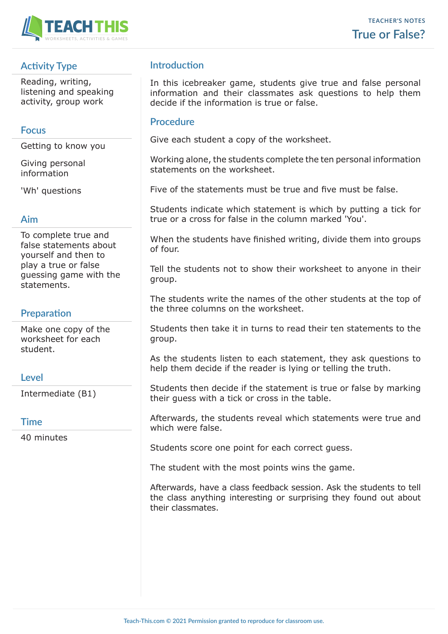

# **Activity Type**

Reading, writing, listening and speaking activity, group work

### **Focus**

Getting to know you

Giving personal information

'Wh' questions

### **Aim**

To complete true and false statements about yourself and then to play a true or false guessing game with the statements.

# **Preparation**

Make one copy of the worksheet for each student.

## **Level**

Intermediate (B1)

### **Time**

40 minutes

## **Introduction**

In this icebreaker game, students give true and false personal information and their classmates ask questions to help them decide if the information is true or false.

### **Procedure**

Give each student a copy of the worksheet.

Working alone, the students complete the ten personal information statements on the worksheet.

Five of the statements must be true and five must be false.

Students indicate which statement is which by putting a tick for true or a cross for false in the column marked 'You'.

When the students have finished writing, divide them into groups of four.

Tell the students not to show their worksheet to anyone in their group.

The students write the names of the other students at the top of the three columns on the worksheet.

Students then take it in turns to read their ten statements to the group.

As the students listen to each statement, they ask questions to help them decide if the reader is lying or telling the truth.

Students then decide if the statement is true or false by marking their guess with a tick or cross in the table.

Afterwards, the students reveal which statements were true and which were false.

Students score one point for each correct guess.

The student with the most points wins the game.

Afterwards, have a class feedback session. Ask the students to tell the class anything interesting or surprising they found out about their classmates.